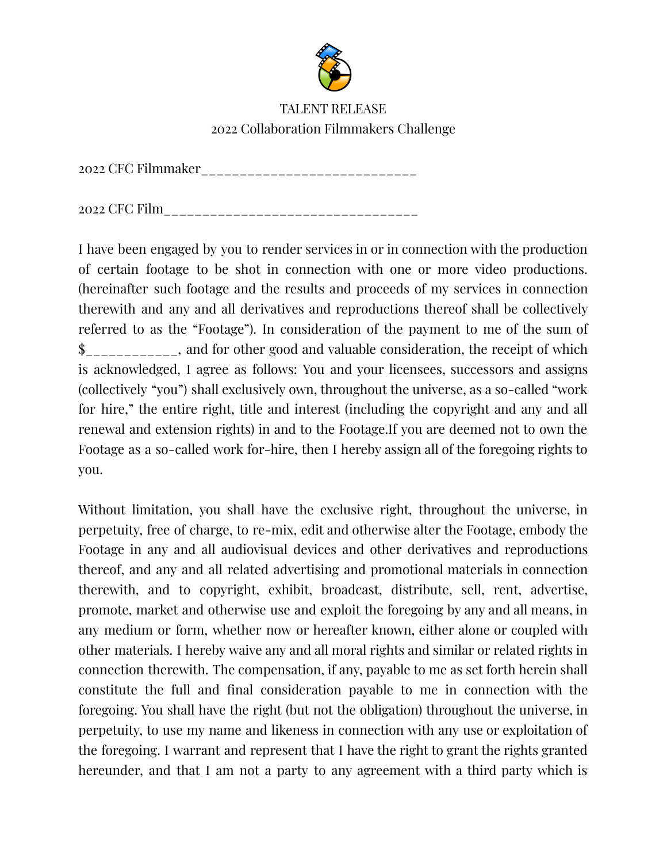

## TALENT RELEASE 2022 Collaboration Filmmakers Challenge

2022 CFC Filmmaker\_\_\_\_\_\_\_\_\_\_\_\_\_\_\_\_\_\_\_\_\_\_\_\_\_\_\_\_

2022 CFC Film\_\_\_\_\_\_\_\_\_\_\_\_\_\_\_\_\_\_\_\_\_\_\_\_\_\_\_\_\_\_\_\_\_

I have been engaged by you to render services in or in connection with the production of certain footage to be shot in connection with one or more video productions. (hereinafter such footage and the results and proceeds of my services in connection therewith and any and all derivatives and reproductions thereof shall be collectively referred to as the "Footage"). In consideration of the payment to me of the sum of \$\_\_\_\_\_\_\_\_\_\_\_\_, and for other good and valuable consideration, the receipt of which is acknowledged, I agree as follows: You and your licensees, successors and assigns (collectively "you") shall exclusively own, throughout the universe, as a so-called "work for hire," the entire right, title and interest (including the copyright and any and all renewal and extension rights) in and to the Footage.If you are deemed not to own the Footage as a so-called work for-hire, then I hereby assign all of the foregoing rights to you.

Without limitation, you shall have the exclusive right, throughout the universe, in perpetuity, free of charge, to re-mix, edit and otherwise alter the Footage, embody the Footage in any and all audiovisual devices and other derivatives and reproductions thereof, and any and all related advertising and promotional materials in connection therewith, and to copyright, exhibit, broadcast, distribute, sell, rent, advertise, promote, market and otherwise use and exploit the foregoing by any and all means, in any medium or form, whether now or hereafter known, either alone or coupled with other materials. I hereby waive any and all moral rights and similar or related rights in connection therewith. The compensation, if any, payable to me as set forth herein shall constitute the full and final consideration payable to me in connection with the foregoing. You shall have the right (but not the obligation) throughout the universe, in perpetuity, to use my name and likeness in connection with any use or exploitation of the foregoing. I warrant and represent that I have the right to grant the rights granted hereunder, and that I am not a party to any agreement with a third party which is